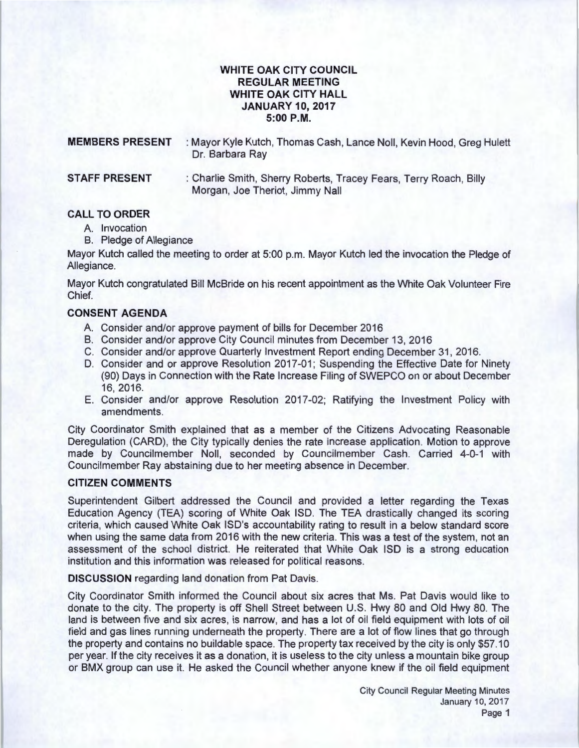## WHITE OAK CITY COUNCIL REGULAR MEETING WHITE OAK CITY HALL JANUARY 10, 2017 5:00 P.M.

| <b>MEMBERS PRESENT</b> | : Mayor Kyle Kutch, Thomas Cash, Lance Noll, Kevin Hood, Greg Hulett<br>Dr. Barbara Ray              |
|------------------------|------------------------------------------------------------------------------------------------------|
| <b>STAFF PRESENT</b>   | : Charlie Smith, Sherry Roberts, Tracey Fears, Terry Roach, Billy<br>Morgan, Joe Theriot, Jimmy Nall |

### CALL TO ORDER

- A. Invocation
- B. Pledge of Allegiance

Mayor Kutch called the meeting to order at 5:00 p.m. Mayor Kutch led the invocation the Pledge of Allegiance.

Mayor Kutch congratulated Bill McBride on his recent appointment as the White Oak Volunteer Fire Chief.

## CONSENT AGENDA

- A. Consider and/or approve payment of bills for December 2016
- B. Consider and/or approve City Council minutes from December 13, 2016
- C. Consider and/or approve Quarterly Investment Report ending December 31 , 2016.
- D. Consider and or approve Resolution 2017-01; Suspending the Effective Date for Ninety (90) Days in Connection with the Rate Increase Filing of SWEPCO on or about December 16, 2016.
- E. Consider and/or approve Resolution 2017 -02; Ratifying the Investment Policy with amendments.

City Coordinator Smith explained that as a member of the Citizens Advocating Reasonable Deregulation (CARD), the City typically denies the rate increase application. Motion to approve made by Councilmember Noll, seconded by Councilmember Cash. Carried 4-0-1 with Councilmember Ray abstaining due to her meeting absence in December.

# CITIZEN COMMENTS

Superintendent Gilbert addressed the Council and provided a letter regarding the Texas Education Agency (TEA) scoring of White Oak lSD. The TEA drastically changed its scoring criteria, which caused White Oak ISD's accountability rating to result in a below standard score when using the same data from 2016 with the new criteria. This was a test of the system, not an assessment of the school district. He reiterated that White Oak lSD is a strong education institution and this information was released for political reasons.

DISCUSSION regarding land donation from Pat Davis.

City Coordinator Smith informed the Council about six acres that Ms. Pat Davis would like to donate to the city. The property is off Shell Street between U.S. Hwy 80 and Old Hwy 80. The land is between five and six acres, is narrow, and has a lot of oil field equipment with lots of oil field and gas lines running underneath the property. There are a lot of flow lines that go through the property and contains no buildable space. The property tax received by the city is only \$57.10 per year. If the city receives it as a donation, it is useless to the city unless a mountain bike group or BMX group can use it. He asked the Council whether anyone knew if the oil field equipment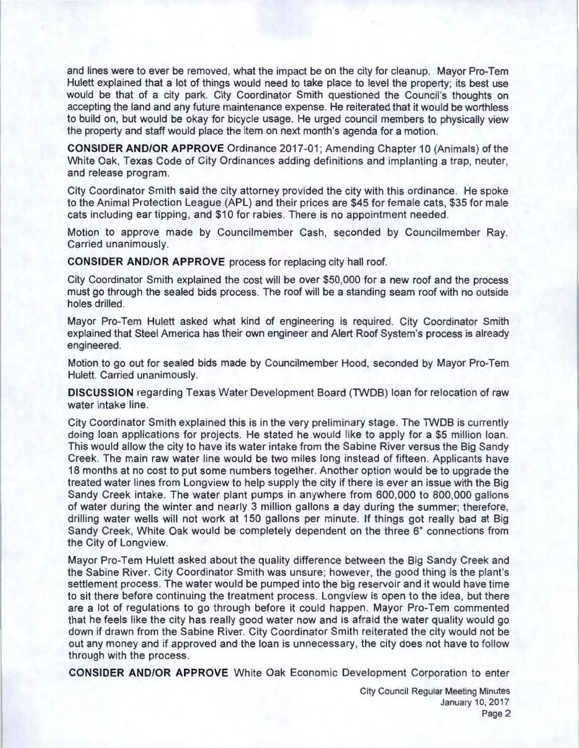and lines were to ever be removed, what the impact be on the city for cleanup. Mayor Pro-Tem Hulett explained that a lot of things would need to take place to level the property; its best use would be that of a city park. City Coordinator Smith questioned the Council's thoughts on accepting the land and any future maintenance expense. He reiterated that it would be worthless to build on, but would be okay for bicycle usage. He urged council members to physically view the property and staff would place the item on next month's agenda for a motion.

**CONSIDER AND/OR APPROVE** Ordinance 2017-01 ; Amending Chapter 10 (Animals) of the White Oak, Texas Code of City Ordinances adding definitions and implanting a trap, neuter, and release program.

City Coordinator Smith said the city attorney provided the city with this ordinance. He spoke to the Animal Protection League (APL) and their prices are \$45 for female cats , \$35 for male cats including ear tipping, and \$10 for rabies. There is no appointment needed.

Motion to approve made by Councilmember Cash, seconded by Councilmember Ray. Carried unanimously.

**CONSIDER AND/OR APPROVE** process for replacing city hall roof.

City Coordinator Smith explained the cost will be over \$50,000 for a new roof and the process must go through the sealed bids process. The roof will be a standing seam roof with no outside holes drilled.

Mayor Pro-Tem Hulett asked what kind of engineering is required . City Coordinator Smith explained that Steel America has their own engineer and Alert Roof System's process is already engineered.

Motion to go out for sealed bids made by Councilmember Hood, seconded by Mayor Pro-Tem Hulett. Carried unanimously.

**DISCUSSION** regarding Texas Water Development Board (TWDB) loan for relocation of raw water intake line.

City Coordinator Smith explained this is in the very preliminary stage. The TWDB is currently doing loan applications for projects. He stated he would like to apply for a \$5 million loan. This would allow the city to have its water intake from the Sabine River versus the Big Sandy Creek. The main raw water line would be two miles long instead of fifteen. Applicants have 18 months at no cost to put some numbers together. Another option would be to upgrade the treated water lines from Longview to help supply the city if there is ever an issue with the Big Sandy Creek intake. The water plant pumps in anywhere from 600,000 to 800,000 gallons of water during the winter and nearly 3 million gallons a day during the summer; therefore, drilling water wells will not work at 150 gallons per minute. If things got really bad at Big Sandy Creek, White Oak would be completely dependent on the three 6" connections from the City of Longview.

Mayor Pro-Tem Hulett asked about the quality difference between the Big Sandy Creek and the Sabine River. City Coordinator Smith was unsure; however, the good thing is the plant's settlement process. The water would be pumped into the big reservoir and it would have time to sit there before continuing the treatment process . Longview is open to the idea, but there are a lot of regulations to go through before it could happen. Mayor Pro-Tem commented that he feels like the city has really good water now and is afraid the water quality would go down if drawn from the Sabine River. City Coordinator Smith reiterated the city would not be out any money and if approved and the loan is unnecessary, the city does not have to follow through with the process.

**CONSIDER AND/OR APPROVE** White Oak Economic Development Corporation to enter